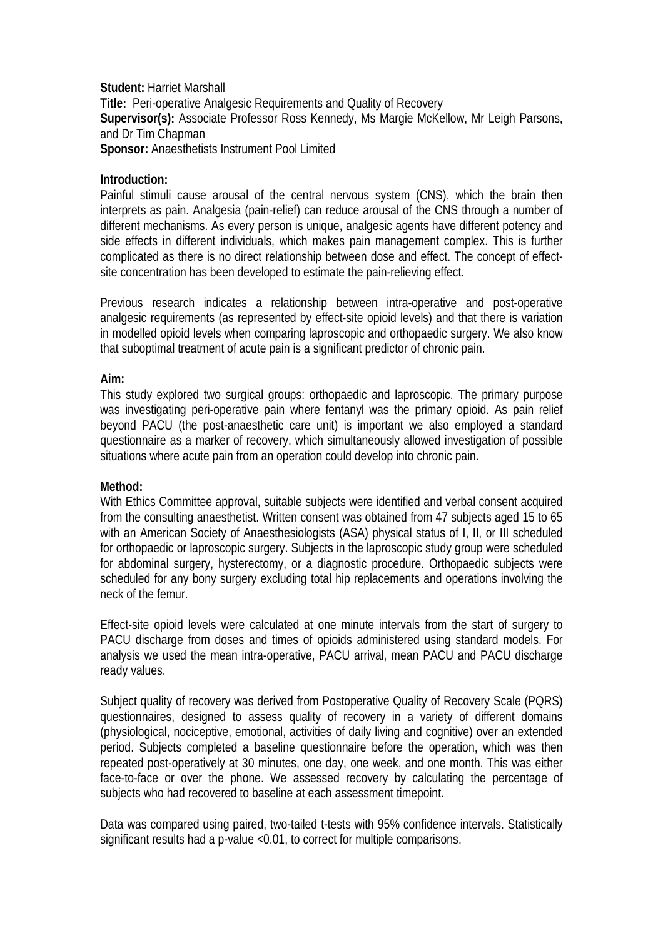**Student:** Harriet Marshall **Title:** Peri-operative Analgesic Requirements and Quality of Recovery **Supervisor(s):** Associate Professor Ross Kennedy, Ms Margie McKellow, Mr Leigh Parsons, and Dr Tim Chapman **Sponsor:** Anaesthetists Instrument Pool Limited

### **Introduction:**

Painful stimuli cause arousal of the central nervous system (CNS), which the brain then interprets as pain. Analgesia (pain-relief) can reduce arousal of the CNS through a number of different mechanisms. As every person is unique, analgesic agents have different potency and side effects in different individuals, which makes pain management complex. This is further complicated as there is no direct relationship between dose and effect. The concept of effectsite concentration has been developed to estimate the pain-relieving effect.

Previous research indicates a relationship between intra-operative and post-operative analgesic requirements (as represented by effect-site opioid levels) and that there is variation in modelled opioid levels when comparing laproscopic and orthopaedic surgery. We also know that suboptimal treatment of acute pain is a significant predictor of chronic pain.

#### **Aim:**

This study explored two surgical groups: orthopaedic and laproscopic. The primary purpose was investigating peri-operative pain where fentanyl was the primary opioid. As pain relief beyond PACU (the post-anaesthetic care unit) is important we also employed a standard questionnaire as a marker of recovery, which simultaneously allowed investigation of possible situations where acute pain from an operation could develop into chronic pain.

### **Method:**

With Ethics Committee approval, suitable subjects were identified and verbal consent acquired from the consulting anaesthetist. Written consent was obtained from 47 subjects aged 15 to 65 with an American Society of Anaesthesiologists (ASA) physical status of I, II, or III scheduled for orthopaedic or laproscopic surgery. Subjects in the laproscopic study group were scheduled for abdominal surgery, hysterectomy, or a diagnostic procedure. Orthopaedic subjects were scheduled for any bony surgery excluding total hip replacements and operations involving the neck of the femur.

Effect-site opioid levels were calculated at one minute intervals from the start of surgery to PACU discharge from doses and times of opioids administered using standard models. For analysis we used the mean intra-operative, PACU arrival, mean PACU and PACU discharge ready values.

Subject quality of recovery was derived from Postoperative Quality of Recovery Scale (PQRS) questionnaires, designed to assess quality of recovery in a variety of different domains (physiological, nociceptive, emotional, activities of daily living and cognitive) over an extended period. Subjects completed a baseline questionnaire before the operation, which was then repeated post-operatively at 30 minutes, one day, one week, and one month. This was either face-to-face or over the phone. We assessed recovery by calculating the percentage of subjects who had recovered to baseline at each assessment timepoint.

Data was compared using paired, two-tailed t-tests with 95% confidence intervals. Statistically significant results had a p-value <0.01, to correct for multiple comparisons.